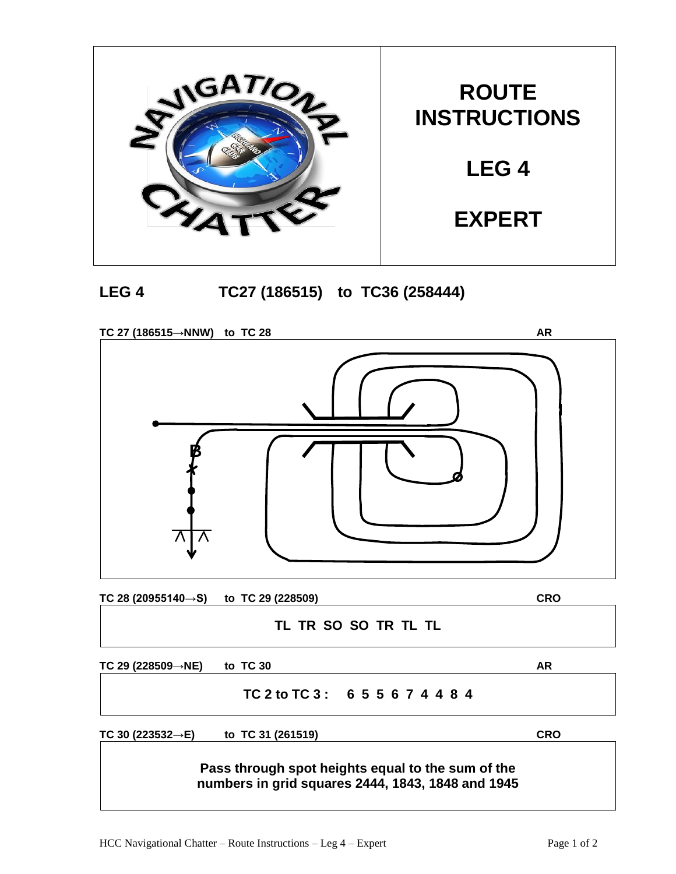



**TC 27 (186515→NNW) to TC 28 AR TC 28 (20955140→S) to TC 29 (228509) CRO TL TR SO SO TR TL TL B**

**TC 29 (228509→NE) to TC 30 AR**

## **TC 2 to TC 3 : 6 5 5 6 7 4 4 8 4**

**TC 30 (223532→E) to TC 31 (261519) CRO**

**Pass through spot heights equal to the sum of the numbers in grid squares 2444, 1843, 1848 and 1945**